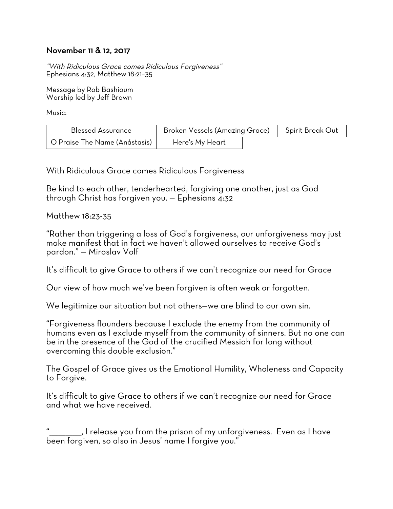## November 11 & 12, 2017

"With Ridiculous Grace comes Ridiculous Forgiveness" Ephesians 4:32, Matthew 18:21–35

Message by Rob Bashioum Worship led by Jeff Brown

Music:

| <b>Blessed Assurance</b>      | <b>Broken Vessels (Amazing Grace)</b> |  | Spirit Break Out |
|-------------------------------|---------------------------------------|--|------------------|
| O Praise The Name (Anástasis) | Here's My Heart                       |  |                  |

With Ridiculous Grace comes Ridiculous Forgiveness

Be kind to each other, tenderhearted, forgiving one another, just as God through Christ has forgiven you. — Ephesians 4:32

Matthew 18:23-35

"Rather than triggering a loss of God's forgiveness, our unforgiveness may just make manifest that in fact we haven't allowed ourselves to receive God's pardon." — Miroslav Volf

It's difficult to give Grace to others if we can't recognize our need for Grace

Our view of how much we've been forgiven is often weak or forgotten.

We legitimize our situation but not others—we are blind to our own sin.

"Forgiveness flounders because I exclude the enemy from the community of humans even as I exclude myself from the community of sinners. But no one can be in the presence of the God of the crucified Messiah for long without overcoming this double exclusion."

The Gospel of Grace gives us the Emotional Humility, Wholeness and Capacity to Forgive.

It's difficult to give Grace to others if we can't recognize our need for Grace and what we have received.

 $\Box$ , I release you from the prison of my unforgiveness. Even as I have been forgiven, so also in Jesus' name I foraive you."